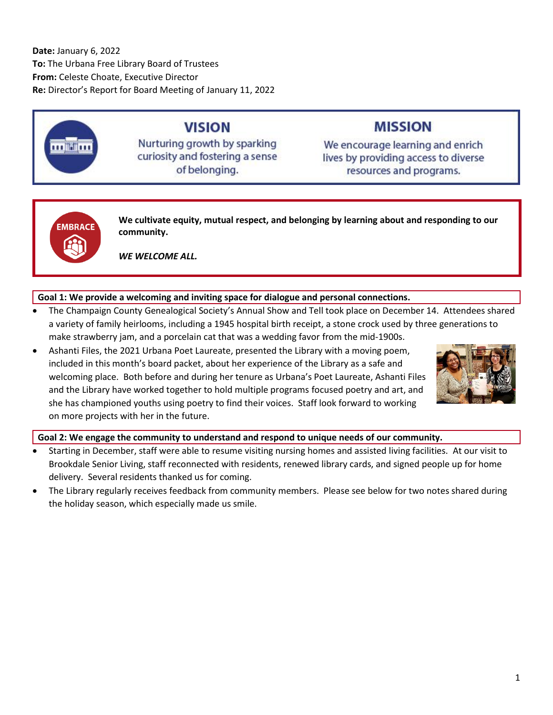**Date:** January 6, 2022 **To:** The Urbana Free Library Board of Trustees **From:** Celeste Choate, Executive Director **Re:** Director's Report for Board Meeting of January 11, 2022



# **VISION**

Nurturing growth by sparking curiosity and fostering a sense of belonging.

## **MISSION**

We encourage learning and enrich lives by providing access to diverse resources and programs.



**We cultivate equity, mutual respect, and belonging by learning about and responding to our community.**

*WE WELCOME ALL.*

## **Goal 1: We provide a welcoming and inviting space for dialogue and personal connections.**

- The Champaign County Genealogical Society's Annual Show and Tell took place on December 14. Attendees shared a variety of family heirlooms, including a 1945 hospital birth receipt, a stone crock used by three generations to make strawberry jam, and a porcelain cat that was a wedding favor from the mid-1900s.
- Ashanti Files, the 2021 Urbana Poet Laureate, presented the Library with a moving poem, included in this month's board packet, about her experience of the Library as a safe and welcoming place. Both before and during her tenure as Urbana's Poet Laureate, Ashanti Files and the Library have worked together to hold multiple programs focused poetry and art, and she has championed youths using poetry to find their voices. Staff look forward to working on more projects with her in the future.



## **Goal 2: We engage the community to understand and respond to unique needs of our community.**

- Starting in December, staff were able to resume visiting nursing homes and assisted living facilities. At our visit to Brookdale Senior Living, staff reconnected with residents, renewed library cards, and signed people up for home delivery. Several residents thanked us for coming.
- The Library regularly receives feedback from community members. Please see below for two notes shared during the holiday season, which especially made us smile.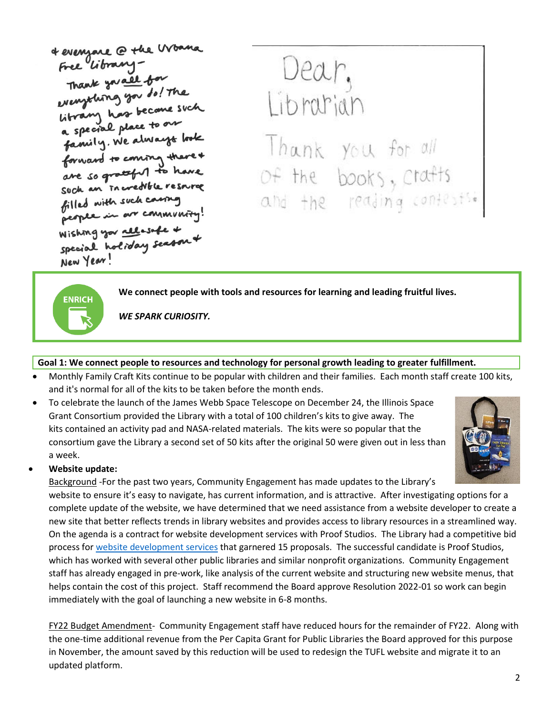of everyone C the Woona<br>Free library -<br>Thank you do! The<br>wenything you do! The<br>library has become such<br>a special place to our<br>family. We always look family. We come or such an incredible resource filled with such caring people in our community! Wishing you allosate + special holiday season + New Year!

Dear,<br>Librarian Thank you for all of the books, crafts<br>and the reading contests:

**ENRICH** 

**We connect people with tools and resources for learning and leading fruitful lives.**

*WE SPARK CURIOSITY.*

#### **Goal 1: We connect people to resources and technology for personal growth leading to greater fulfillment.**

- Monthly Family Craft Kits continue to be popular with children and their families. Each month staff create 100 kits, and it's normal for all of the kits to be taken before the month ends.
- To celebrate the launch of the James Webb Space Telescope on December 24, the Illinois Space Grant Consortium provided the Library with a total of 100 children's kits to give away. The kits contained an activity pad and NASA-related materials. The kits were so popular that the consortium gave the Library a second set of 50 kits after the original 50 were given out in less than a week.



#### • **Website update:**

Background -For the past two years, Community Engagement has made updates to the Library's website to ensure it's easy to navigate, has current information, and is attractive. After investigating options for a complete update of the website, we have determined that we need assistance from a website developer to create a new site that better reflects trends in library websites and provides access to library resources in a streamlined way. On the agenda is a contract for website development services with Proof Studios. The Library had a competitive bid process for [website development services](https://www.urbanaillinois.us/UFL_Solicitation_2122-002) that garnered 15 proposals. The successful candidate is Proof Studios, which has worked with several other public libraries and similar nonprofit organizations. Community Engagement staff has already engaged in pre-work, like analysis of the current website and structuring new website menus, that helps contain the cost of this project. Staff recommend the Board approve Resolution 2022-01 so work can begin immediately with the goal of launching a new website in 6-8 months.

FY22 Budget Amendment- Community Engagement staff have reduced hours for the remainder of FY22. Along with the one-time additional revenue from the Per Capita Grant for Public Libraries the Board approved for this purpose in November, the amount saved by this reduction will be used to redesign the TUFL website and migrate it to an updated platform.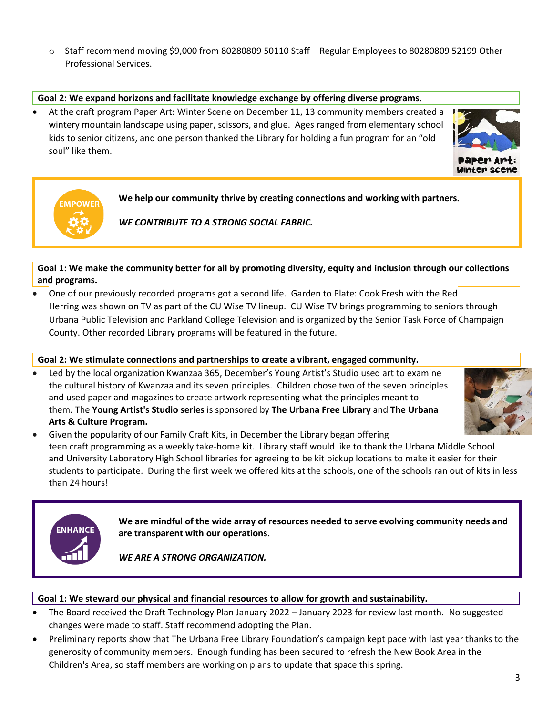o Staff recommend moving \$9,000 from 80280809 50110 Staff – Regular Employees to 80280809 52199 Other Professional Services.

## **Goal 2: We expand horizons and facilitate knowledge exchange by offering diverse programs.**

• At the craft program Paper Art: Winter Scene on December 11, 13 community members created a wintery mountain landscape using paper, scissors, and glue. Ages ranged from elementary school kids to senior citizens, and one person thanked the Library for holding a fun program for an "old soul" like them.





**We help our community thrive by creating connections and working with partners.**

*WE CONTRIBUTE TO A STRONG SOCIAL FABRIC.*

## **Goal 1: We make the community better for all by promoting diversity, equity and inclusion through our collections and programs.**

• One of our previously recorded programs got a second life. Garden to Plate: Cook Fresh with the Red Herring was shown on TV as part of the CU Wise TV lineup. CU Wise TV brings programming to seniors through Urbana Public Television and Parkland College Television and is organized by the Senior Task Force of Champaign County. Other recorded Library programs will be featured in the future.

## **Goal 2: We stimulate connections and partnerships to create a vibrant, engaged community.**

• Led by the local organization Kwanzaa 365, December's Young Artist's Studio used art to examine the cultural history of Kwanzaa and its seven principles. Children chose two of the seven principles and used paper and magazines to create artwork representing what the principles meant to them. The **Young Artist's Studio series** is sponsored by **The Urbana Free Library** and **The Urbana Arts & Culture Program.**



• Given the popularity of our Family Craft Kits, in December the Library began offering teen craft programming as a weekly take-home kit. Library staff would like to thank the Urbana Middle School and University Laboratory High School libraries for agreeing to be kit pickup locations to make it easier for their students to participate. During the first week we offered kits at the schools, one of the schools ran out of kits in less than 24 hours!



**We are mindful of the wide array of resources needed to serve evolving community needs and are transparent with our operations.**

*WE ARE A STRONG ORGANIZATION.*

## **Goal 1: We steward our physical and financial resources to allow for growth and sustainability.**

- The Board received the Draft Technology Plan January 2022 January 2023 for review last month. No suggested changes were made to staff. Staff recommend adopting the Plan.
- Preliminary reports show that The Urbana Free Library Foundation's campaign kept pace with last year thanks to the generosity of community members. Enough funding has been secured to refresh the New Book Area in the Children's Area, so staff members are working on plans to update that space this spring.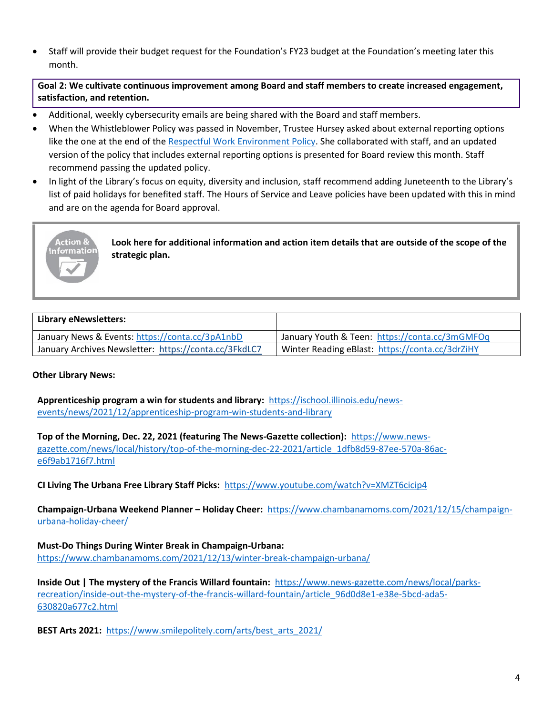• Staff will provide their budget request for the Foundation's FY23 budget at the Foundation's meeting later this month.

**Goal 2: We cultivate continuous improvement among Board and staff members to create increased engagement, satisfaction, and retention.**

- Additional, weekly cybersecurity emails are being shared with the Board and staff members.
- When the Whistleblower Policy was passed in November, Trustee Hursey asked about external reporting options like the one at the end of the [Respectful Work Environment Policy.](https://urbanafreelibrary.org/sites/default/files/page/attachments/2021/08/VI-O%20Respectful%20Work%20Environment%20July%202021.pdf) She collaborated with staff, and an updated version of the policy that includes external reporting options is presented for Board review this month. Staff recommend passing the updated policy.
- In light of the Library's focus on equity, diversity and inclusion, staff recommend adding Juneteenth to the Library's list of paid holidays for benefited staff. The Hours of Service and Leave policies have been updated with this in mind and are on the agenda for Board approval.



**Look here for additional information and action item details that are outside of the scope of the strategic plan.**

| Library eNewsletters:                                 |                                                 |
|-------------------------------------------------------|-------------------------------------------------|
| January News & Events: https://conta.cc/3pA1nbD       | January Youth & Teen: https://conta.cc/3mGMFOq  |
| January Archives Newsletter: https://conta.cc/3FkdLC7 | Winter Reading eBlast: https://conta.cc/3drZiHY |

**Other Library News:**

**Apprenticeship program a win for students and library:** [https://ischool.illinois.edu/news](https://ischool.illinois.edu/news-events/news/2021/12/apprenticeship-program-win-students-and-library)[events/news/2021/12/apprenticeship-program-win-students-and-library](https://ischool.illinois.edu/news-events/news/2021/12/apprenticeship-program-win-students-and-library)

**Top of the Morning, Dec. 22, 2021 (featuring The News-Gazette collection):** [https://www.news](https://www.news-gazette.com/news/local/history/top-of-the-morning-dec-22-2021/article_1dfb8d59-87ee-570a-86ac-e6f9ab1716f7.html)[gazette.com/news/local/history/top-of-the-morning-dec-22-2021/article\\_1dfb8d59-87ee-570a-86ac](https://www.news-gazette.com/news/local/history/top-of-the-morning-dec-22-2021/article_1dfb8d59-87ee-570a-86ac-e6f9ab1716f7.html)[e6f9ab1716f7.html](https://www.news-gazette.com/news/local/history/top-of-the-morning-dec-22-2021/article_1dfb8d59-87ee-570a-86ac-e6f9ab1716f7.html)

**CI Living The Urbana Free Library Staff Picks:**<https://www.youtube.com/watch?v=XMZT6cicip4>

**Champaign-Urbana Weekend Planner – Holiday Cheer:** [https://www.chambanamoms.com/2021/12/15/champaign](https://www.chambanamoms.com/2021/12/15/champaign-urbana-holiday-cheer/)[urbana-holiday-cheer/](https://www.chambanamoms.com/2021/12/15/champaign-urbana-holiday-cheer/)

**Must-Do Things During Winter Break in Champaign-Urbana:** <https://www.chambanamoms.com/2021/12/13/winter-break-champaign-urbana/>

**Inside Out | The mystery of the Francis Willard fountain:** [https://www.news-gazette.com/news/local/parks](https://www.news-gazette.com/news/local/parks-recreation/inside-out-the-mystery-of-the-francis-willard-fountain/article_96d0d8e1-e38e-5bcd-ada5-630820a677c2.html)[recreation/inside-out-the-mystery-of-the-francis-willard-fountain/article\\_96d0d8e1-e38e-5bcd-ada5-](https://www.news-gazette.com/news/local/parks-recreation/inside-out-the-mystery-of-the-francis-willard-fountain/article_96d0d8e1-e38e-5bcd-ada5-630820a677c2.html) [630820a677c2.html](https://www.news-gazette.com/news/local/parks-recreation/inside-out-the-mystery-of-the-francis-willard-fountain/article_96d0d8e1-e38e-5bcd-ada5-630820a677c2.html)

**BEST Arts 2021:** [https://www.smilepolitely.com/arts/best\\_arts\\_2021/](https://www.smilepolitely.com/arts/best_arts_2021/)